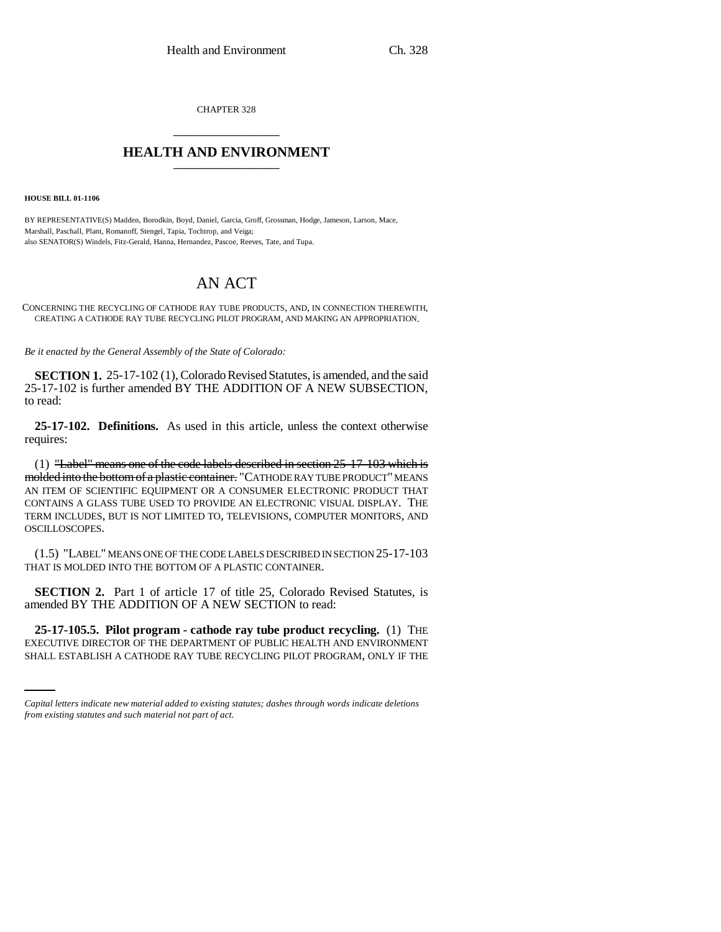CHAPTER 328 \_\_\_\_\_\_\_\_\_\_\_\_\_\_\_

## **HEALTH AND ENVIRONMENT** \_\_\_\_\_\_\_\_\_\_\_\_\_\_\_

**HOUSE BILL 01-1106**

BY REPRESENTATIVE(S) Madden, Borodkin, Boyd, Daniel, Garcia, Groff, Grossman, Hodge, Jameson, Larson, Mace, Marshall, Paschall, Plant, Romanoff, Stengel, Tapia, Tochtrop, and Veiga; also SENATOR(S) Windels, Fitz-Gerald, Hanna, Hernandez, Pascoe, Reeves, Tate, and Tupa.

## AN ACT

CONCERNING THE RECYCLING OF CATHODE RAY TUBE PRODUCTS, AND, IN CONNECTION THEREWITH, CREATING A CATHODE RAY TUBE RECYCLING PILOT PROGRAM, AND MAKING AN APPROPRIATION.

*Be it enacted by the General Assembly of the State of Colorado:*

**SECTION 1.** 25-17-102 (1), Colorado Revised Statutes, is amended, and the said 25-17-102 is further amended BY THE ADDITION OF A NEW SUBSECTION, to read:

**25-17-102. Definitions.** As used in this article, unless the context otherwise requires:

(1) "Label" means one of the code labels described in section 25-17-103 which is molded into the bottom of a plastic container. "CATHODE RAY TUBE PRODUCT" MEANS AN ITEM OF SCIENTIFIC EQUIPMENT OR A CONSUMER ELECTRONIC PRODUCT THAT CONTAINS A GLASS TUBE USED TO PROVIDE AN ELECTRONIC VISUAL DISPLAY. THE TERM INCLUDES, BUT IS NOT LIMITED TO, TELEVISIONS, COMPUTER MONITORS, AND OSCILLOSCOPES.

(1.5) "LABEL" MEANS ONE OF THE CODE LABELS DESCRIBED IN SECTION 25-17-103 THAT IS MOLDED INTO THE BOTTOM OF A PLASTIC CONTAINER.

**SECTION 2.** Part 1 of article 17 of title 25, Colorado Revised Statutes, is amended BY THE ADDITION OF A NEW SECTION to read:

 **25-17-105.5. Pilot program - cathode ray tube product recycling.** (1) THE EXECUTIVE DIRECTOR OF THE DEPARTMENT OF PUBLIC HEALTH AND ENVIRONMENT SHALL ESTABLISH A CATHODE RAY TUBE RECYCLING PILOT PROGRAM, ONLY IF THE

*Capital letters indicate new material added to existing statutes; dashes through words indicate deletions from existing statutes and such material not part of act.*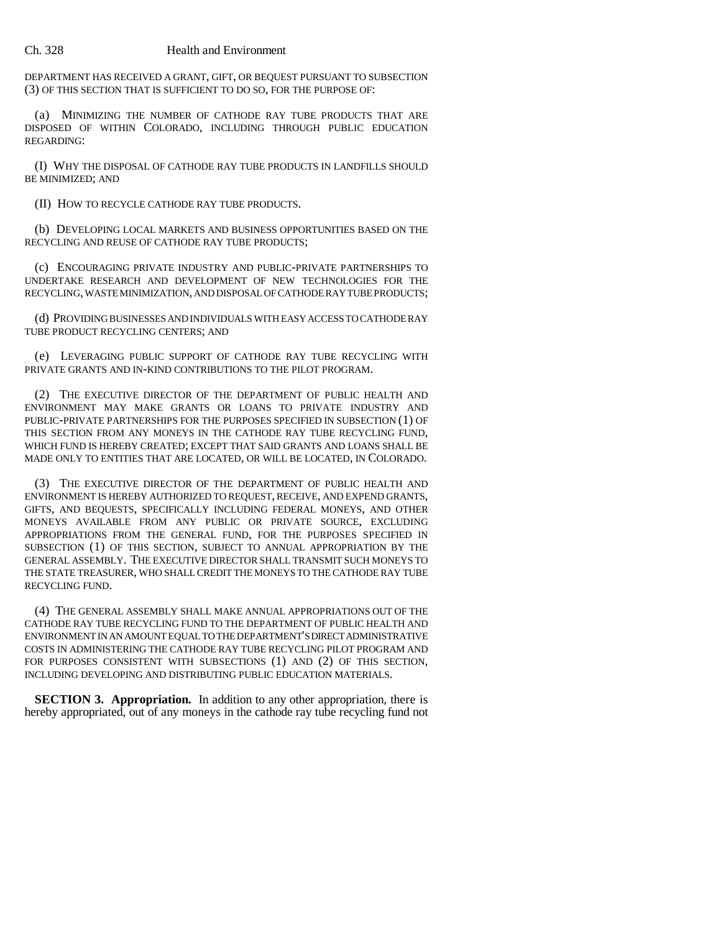## Ch. 328 Health and Environment

DEPARTMENT HAS RECEIVED A GRANT, GIFT, OR BEQUEST PURSUANT TO SUBSECTION (3) OF THIS SECTION THAT IS SUFFICIENT TO DO SO, FOR THE PURPOSE OF:

(a) MINIMIZING THE NUMBER OF CATHODE RAY TUBE PRODUCTS THAT ARE DISPOSED OF WITHIN COLORADO, INCLUDING THROUGH PUBLIC EDUCATION REGARDING:

(I) WHY THE DISPOSAL OF CATHODE RAY TUBE PRODUCTS IN LANDFILLS SHOULD BE MINIMIZED; AND

(II) HOW TO RECYCLE CATHODE RAY TUBE PRODUCTS.

(b) DEVELOPING LOCAL MARKETS AND BUSINESS OPPORTUNITIES BASED ON THE RECYCLING AND REUSE OF CATHODE RAY TUBE PRODUCTS;

(c) ENCOURAGING PRIVATE INDUSTRY AND PUBLIC-PRIVATE PARTNERSHIPS TO UNDERTAKE RESEARCH AND DEVELOPMENT OF NEW TECHNOLOGIES FOR THE RECYCLING, WASTE MINIMIZATION, AND DISPOSAL OF CATHODE RAY TUBE PRODUCTS;

(d) PROVIDING BUSINESSES AND INDIVIDUALS WITH EASY ACCESS TO CATHODE RAY TUBE PRODUCT RECYCLING CENTERS; AND

(e) LEVERAGING PUBLIC SUPPORT OF CATHODE RAY TUBE RECYCLING WITH PRIVATE GRANTS AND IN-KIND CONTRIBUTIONS TO THE PILOT PROGRAM.

(2) THE EXECUTIVE DIRECTOR OF THE DEPARTMENT OF PUBLIC HEALTH AND ENVIRONMENT MAY MAKE GRANTS OR LOANS TO PRIVATE INDUSTRY AND PUBLIC-PRIVATE PARTNERSHIPS FOR THE PURPOSES SPECIFIED IN SUBSECTION (1) OF THIS SECTION FROM ANY MONEYS IN THE CATHODE RAY TUBE RECYCLING FUND, WHICH FUND IS HEREBY CREATED; EXCEPT THAT SAID GRANTS AND LOANS SHALL BE MADE ONLY TO ENTITIES THAT ARE LOCATED, OR WILL BE LOCATED, IN COLORADO.

(3) THE EXECUTIVE DIRECTOR OF THE DEPARTMENT OF PUBLIC HEALTH AND ENVIRONMENT IS HEREBY AUTHORIZED TO REQUEST, RECEIVE, AND EXPEND GRANTS, GIFTS, AND BEQUESTS, SPECIFICALLY INCLUDING FEDERAL MONEYS, AND OTHER MONEYS AVAILABLE FROM ANY PUBLIC OR PRIVATE SOURCE, EXCLUDING APPROPRIATIONS FROM THE GENERAL FUND, FOR THE PURPOSES SPECIFIED IN SUBSECTION (1) OF THIS SECTION, SUBJECT TO ANNUAL APPROPRIATION BY THE GENERAL ASSEMBLY. THE EXECUTIVE DIRECTOR SHALL TRANSMIT SUCH MONEYS TO THE STATE TREASURER, WHO SHALL CREDIT THE MONEYS TO THE CATHODE RAY TUBE RECYCLING FUND.

(4) THE GENERAL ASSEMBLY SHALL MAKE ANNUAL APPROPRIATIONS OUT OF THE CATHODE RAY TUBE RECYCLING FUND TO THE DEPARTMENT OF PUBLIC HEALTH AND ENVIRONMENT IN AN AMOUNT EQUAL TO THE DEPARTMENT'S DIRECT ADMINISTRATIVE COSTS IN ADMINISTERING THE CATHODE RAY TUBE RECYCLING PILOT PROGRAM AND FOR PURPOSES CONSISTENT WITH SUBSECTIONS (1) AND (2) OF THIS SECTION, INCLUDING DEVELOPING AND DISTRIBUTING PUBLIC EDUCATION MATERIALS.

**SECTION 3. Appropriation.** In addition to any other appropriation, there is hereby appropriated, out of any moneys in the cathode ray tube recycling fund not